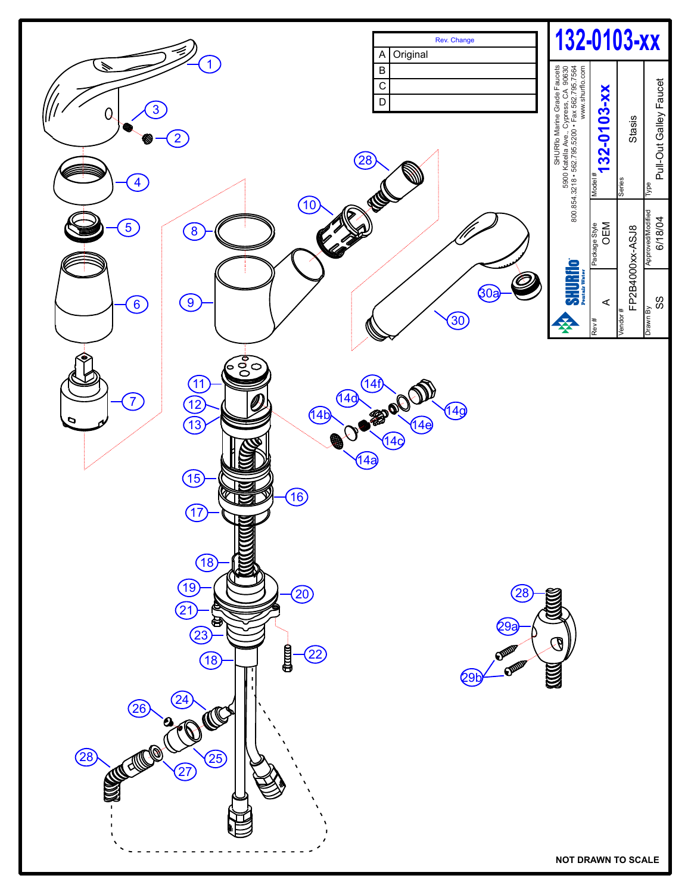